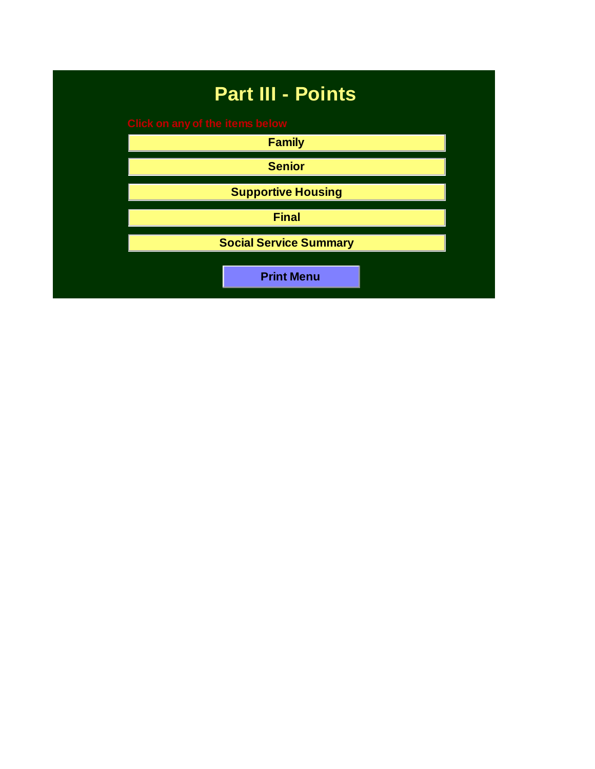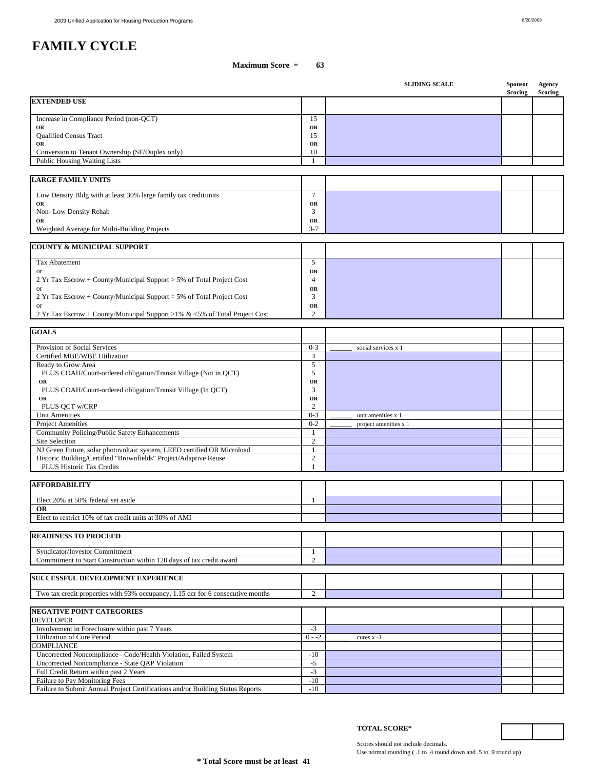|                                                                                                        |                      | <b>SLIDING SCALE</b>  | <b>Sponsor</b><br><b>Scoring</b> | Agency<br><b>Scoring</b> |
|--------------------------------------------------------------------------------------------------------|----------------------|-----------------------|----------------------------------|--------------------------|
| <b>EXTENDED USE</b>                                                                                    |                      |                       |                                  |                          |
| Increase in Compliance Period (non-QCT)                                                                | 15                   |                       |                                  |                          |
| OR                                                                                                     | OR                   |                       |                                  |                          |
| Qualified Census Tract                                                                                 | 15                   |                       |                                  |                          |
| OR<br>Conversion to Tenant Ownership (SF/Duplex only)                                                  | OR<br>10             |                       |                                  |                          |
| Public Housing Waiting Lists                                                                           | $\mathbf{1}$         |                       |                                  |                          |
|                                                                                                        |                      |                       |                                  |                          |
| <b>LARGE FAMILY UNITS</b>                                                                              |                      |                       |                                  |                          |
| Low Density Bldg with at least 30% large family tax creditunits                                        | $\tau$               |                       |                                  |                          |
| OR                                                                                                     | OR                   |                       |                                  |                          |
| Non-Low Density Rehab                                                                                  | 3                    |                       |                                  |                          |
| OR<br>Weighted Average for Multi-Building Projects                                                     | OR<br>$3 - 7$        |                       |                                  |                          |
|                                                                                                        |                      |                       |                                  |                          |
| <b>COUNTY &amp; MUNICIPAL SUPPORT</b>                                                                  |                      |                       |                                  |                          |
| Tax Abatement                                                                                          | 5                    |                       |                                  |                          |
| or                                                                                                     | OR                   |                       |                                  |                          |
| 2 Yr Tax Escrow + County/Municipal Support > 5% of Total Project Cost                                  | $\overline{4}$       |                       |                                  |                          |
| or<br>$2 Yr$ Tax Escrow + County/Municipal Support = 5% of Total Project Cost                          | OR<br>3              |                       |                                  |                          |
| or                                                                                                     | OR                   |                       |                                  |                          |
| 2 Yr Tax Escrow + County/Municipal Support >1% & <5% of Total Project Cost                             | $\overline{2}$       |                       |                                  |                          |
|                                                                                                        |                      |                       |                                  |                          |
| <b>GOALS</b>                                                                                           |                      |                       |                                  |                          |
| Provision of Social Services                                                                           | $0 - 3$              | social services x 1   |                                  |                          |
| Certified MBE/WBE Utilization                                                                          | $\overline{4}$       |                       |                                  |                          |
| Ready to Grow Area<br>PLUS COAH/Court-ordered obligation/Transit Village (Not in QCT)                  | 5<br>5               |                       |                                  |                          |
| OR                                                                                                     | OR                   |                       |                                  |                          |
| PLUS COAH/Court-ordered obligation/Transit Village (In QCT)                                            | $\mathfrak{Z}$       |                       |                                  |                          |
| OR                                                                                                     | OR<br>$\overline{c}$ |                       |                                  |                          |
| PLUS QCT w/CRP<br><b>Unit Amenities</b>                                                                | $0 - 3$              | unit amenities x 1    |                                  |                          |
| <b>Project Amenities</b>                                                                               | $0 - 2$              | project amenities x 1 |                                  |                          |
| Community Policing/Public Safety Enhancements                                                          | -1                   |                       |                                  |                          |
| Site Selection<br>NJ Green Future, solar photovoltaic system, LEED certified OR Microload              | 2<br>1               |                       |                                  |                          |
| Historic Building/Certified "Brownfields" Project/Adaptive Reuse                                       | $\overline{2}$       |                       |                                  |                          |
| PLUS Historic Tax Credits                                                                              | $\mathbf{1}$         |                       |                                  |                          |
|                                                                                                        |                      |                       |                                  |                          |
| <b>AFFORDABILITY</b>                                                                                   |                      |                       |                                  |                          |
| Elect 20% at 50% federal set aside                                                                     | -1                   |                       |                                  |                          |
| <b>OR</b>                                                                                              |                      |                       |                                  |                          |
| Elect to restrict 10% of tax credit units at 30% of AMI                                                |                      |                       |                                  |                          |
| <b>READINESS TO PROCEED</b>                                                                            |                      |                       |                                  |                          |
|                                                                                                        |                      |                       |                                  |                          |
| Syndicator/Investor Commitment<br>Commitment to Start Construction within 120 days of tax credit award | -1<br>2              |                       |                                  |                          |
|                                                                                                        |                      |                       |                                  |                          |
| <b>SUCCESSFUL DEVELOPMENT EXPERIENCE</b>                                                               |                      |                       |                                  |                          |
| Two tax credit properties with 93% occupancy, 1.15 dcr for 6 consecutive months                        | 2                    |                       |                                  |                          |
|                                                                                                        |                      |                       |                                  |                          |
| <b>NEGATIVE POINT CATEGORIES</b>                                                                       |                      |                       |                                  |                          |
| DEVELOPER                                                                                              |                      |                       |                                  |                          |
| Involvement in Foreclosure within past 7 Years<br>Utilization of Cure Period                           | $-3$<br>$0 - -2$     | cures $x - 1$         |                                  |                          |
| COMPLIANCE                                                                                             |                      |                       |                                  |                          |
| Uncorrected Noncompliance - Code/Health Violation, Failed System                                       | $-10$                |                       |                                  |                          |
| Uncorrected Noncompliance - State QAP Violation                                                        | $-5$                 |                       |                                  |                          |
| Full Credit Return within past 2 Years<br>Failure to Pay Monitoring Fees                               | $-3$<br>$-10$        |                       |                                  |                          |
| Failure to Submit Annual Project Certifications and/or Building Status Reports                         | $-10$                |                       |                                  |                          |

Scores should not include decimals. Use normal rounding ( .1 to .4 round down and .5 to .9 round up)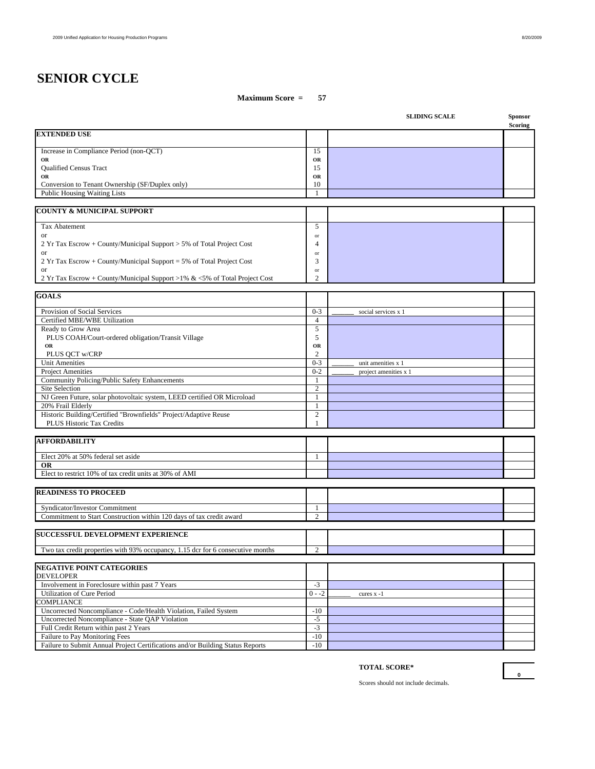# **SENIOR CYCLE**

## **Maximum Score = 57**

|                                                                                 |                           | <b>SLIDING SCALE</b>  | Sponsor<br>Scoring |
|---------------------------------------------------------------------------------|---------------------------|-----------------------|--------------------|
| <b>EXTENDED USE</b>                                                             |                           |                       |                    |
| Increase in Compliance Period (non-QCT)                                         | 15                        |                       |                    |
| OR                                                                              | OR                        |                       |                    |
| <b>Oualified Census Tract</b>                                                   | 15                        |                       |                    |
| OR                                                                              | OR                        |                       |                    |
| Conversion to Tenant Ownership (SF/Duplex only)                                 | 10                        |                       |                    |
| <b>Public Housing Waiting Lists</b>                                             | $\mathbf{1}$              |                       |                    |
| <b>COUNTY &amp; MUNICIPAL SUPPORT</b>                                           |                           |                       |                    |
| Tax Abatement                                                                   | 5                         |                       |                    |
| or                                                                              | or                        |                       |                    |
| 2 Yr Tax Escrow + County/Municipal Support > 5% of Total Project Cost           | $\overline{4}$            |                       |                    |
| or                                                                              | or                        |                       |                    |
| 2 Yr Tax Escrow + County/Municipal Support = 5% of Total Project Cost           | 3                         |                       |                    |
| or                                                                              | or                        |                       |                    |
| 2 Yr Tax Escrow + County/Municipal Support >1% & <5% of Total Project Cost      | $\overline{2}$            |                       |                    |
| <b>GOALS</b>                                                                    |                           |                       |                    |
|                                                                                 |                           |                       |                    |
| Provision of Social Services<br>Certified MBE/WBE Utilization                   | $0 - 3$<br>$\overline{4}$ | social services x 1   |                    |
| Ready to Grow Area                                                              | 5                         |                       |                    |
| PLUS COAH/Court-ordered obligation/Transit Village                              | 5                         |                       |                    |
| OR                                                                              | OR                        |                       |                    |
| PLUS QCT w/CRP                                                                  | $\overline{c}$            |                       |                    |
| <b>Unit Amenities</b>                                                           | $0 - 3$                   | unit amenities x 1    |                    |
| <b>Project Amenities</b>                                                        | $0 - 2$                   | project amenities x 1 |                    |
| Community Policing/Public Safety Enhancements                                   | $\mathbf{1}$              |                       |                    |
| Site Selection                                                                  | $\overline{2}$            |                       |                    |
| NJ Green Future, solar photovoltaic system, LEED certified OR Microload         | $\mathbf{1}$              |                       |                    |
| 20% Frail Elderly                                                               | $\mathbf{1}$              |                       |                    |
| Historic Building/Certified "Brownfields" Project/Adaptive Reuse                | 2                         |                       |                    |
| <b>PLUS Historic Tax Credits</b>                                                | 1                         |                       |                    |
| <b>AFFORDABILITY</b>                                                            |                           |                       |                    |
| Elect 20% at 50% federal set aside                                              | 1                         |                       |                    |
| <b>OR</b>                                                                       |                           |                       |                    |
| Elect to restrict 10% of tax credit units at 30% of AMI                         |                           |                       |                    |
|                                                                                 |                           |                       |                    |
| <b>READINESS TO PROCEED</b>                                                     |                           |                       |                    |
| Syndicator/Investor Commitment                                                  | 1                         |                       |                    |
| Commitment to Start Construction within 120 days of tax credit award            | $\overline{2}$            |                       |                    |
| <b>SUCCESSFUL DEVELOPMENT EXPERIENCE</b>                                        |                           |                       |                    |
| Two tax credit properties with 93% occupancy, 1.15 dcr for 6 consecutive months | $\overline{c}$            |                       |                    |
|                                                                                 |                           |                       |                    |
| <b>NEGATIVE POINT CATEGORIES</b><br><b>DEVELOPER</b>                            |                           |                       |                    |
| Involvement in Foreclosure within past 7 Years                                  | $-3$                      |                       |                    |
| Utilization of Cure Period                                                      | $0 - -2$                  | cures $x - 1$         |                    |
| COMPLIANCE                                                                      |                           |                       |                    |
| Uncorrected Noncompliance - Code/Health Violation, Failed System                | $-10$                     |                       |                    |
| Uncorrected Noncompliance - State QAP Violation                                 | $-5$                      |                       |                    |
| Full Credit Return within past 2 Years                                          | $-3$                      |                       |                    |
| Failure to Pay Monitoring Fees                                                  | $-10$                     |                       |                    |
| Failure to Submit Annual Project Certifications and/or Building Status Reports  | $-10$                     |                       |                    |

# **TOTAL SCORE\***

Scores should not include decimals.

**0**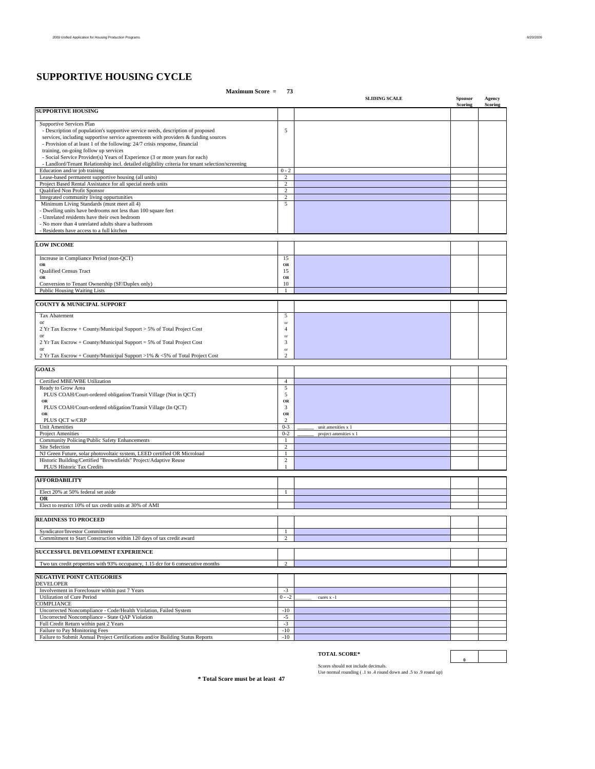# **SUPPORTIVE HOUSING CYCLE**

### **Maximum Score = 73 SLIDING SCALE** Sponsor Agency<br>Scoring Scoring Scoring **Scoring Scoring SUPPORTIVE HOUSING** Supportive Services Plan - Description of population's supportive service needs, description of proposed 5 services, including supportive service agreements with providers & funding sources - Provision of at least 1 of the following: 24/7 crisis response, financial training, on-going follow up services - Social Service Provider(s) Years of Experience (3 or more years for each) - Landlord/Tenant Relationship incl. detailed eligibility criteria for tenant selection/screening Education and/or job training  $0 - 2$ Lease-based permanent supportive housing (all units)<br>
Project Based Rental Assistance for all special needs units 2 Project Based Rental Assistance for all special needs units Qualified Non Profit Sponsor 2 Integrated community living oppurtunities 2 Minimum Living Standards (must meet all 4) 5 - Dwelling units have bedrooms not less than 100 square feet - Unrelated residents have their own bedroom - No more than 4 unrelated adults share a bathroom - Residents have access to a full kitchen **LOW INCOME** Increase in Compliance Period (non-QCT) 15<br>
OR **OR OR** Qualified Census Tract 15 **OR OR** Conversion to Tenant Ownership (SF/Duplex only) 10 Public Housing Waiting Lists 1 **COUNTY & MUNICIPAL SUPPORT** Tax Abatement 5 or or **or** or **or** or<br>2 Yr Tax Escrow + County/Municipal Support > 5% of Total Project Cost<br>2 Yr Tax Escrow + County/Municipal Support = 5% of Total Project Cost<br>3 3 or or **or** or **or** 2 Yr Tax Escrow + County/Municipal Support = 5% of Total Project Cost 3 or or **or** or **or** 2 Yr Tax Escrow + County/Municipal Support >1% & <5% of Total Project Cost 2 **GOALS** Certified MBE/WBE Utilization 4 Ready to Grow Area 5<br>
PLUS COAH/Court-ordered obligation/Transit Village (Not in QCT) 5 **OR**<br>
PLUS COAH/Court-ordered obligation/Transit Village (In QCT) 3  **OR OR** PLUS QCT w/CRP 2<br>
Init Amenities 0.3 Unit Amenities x 1 Project Amenities **a**  $\frac{0.2}{1}$  **Droject amenities x** 1 Community Policing/Public Safety Enhancements 1 Site Selection 2<br>2 Nicrean Future, solar photovoltaic system, LEED certified OR Microload 2<br>1 Nicoric Building/Certified "Brownfields" Project/Adaptive Reuse Historic Building/Certified "Brownfields" Project/Adaptive Reuse<br>
PLUS Historic Tax Credits 1 **AFFORDABILITY** Elect 20% at 50% federal set aside 1 **OR** Elect to restrict 10% of tax credit units at 30% of AMI **READINESS TO PROCEED** Syndicator/Investor Commitment<br>
Commitment to Start Construction within 120 days of tax credit award<br>
2 Commitment to Start Construction within 120 days of tax credit award **SUCCESSFUL DEVELOPMENT EXPERIENCE**  Two tax credit properties with 93% occupancy, 1.15 dcr for 6 consecutive months 2 **NEGATIVE POINT CATEGORIES** DEVELOPER Involvement in Foreclosure within past 7 Years -3 Utilization of Cure Period  $0 - 2$  cures x -1 COMPLIANCE Uncorrected Noncompliance - Code/Health Violation, Failed System -10<br>Uncorrected Noncompliance - State QAP Violation -5<br>
Full Credit Return within past 2 Years Uncorrected Noncompliance - State QAP Violation Full Credit Return within past 2 Years 4.5 And the state of Pay Monitoring Fees 5.5 And the state of Pay Monitoring Fees 5.5 And the state of Pay Monitoring Fees 5.6 And the state of Pay Monitoring Fees 5.6 And the state o Failure to Pay Monitoring Fees Failure to Submit Annual Project Certifications and/or Building Status Reports -10

#### **TOTAL SCORE\***

Scores should not include decimals. Use normal rounding ( .1 to .4 round down and .5 to .9 round up)

**\* Total Score must be at least 47**

**0**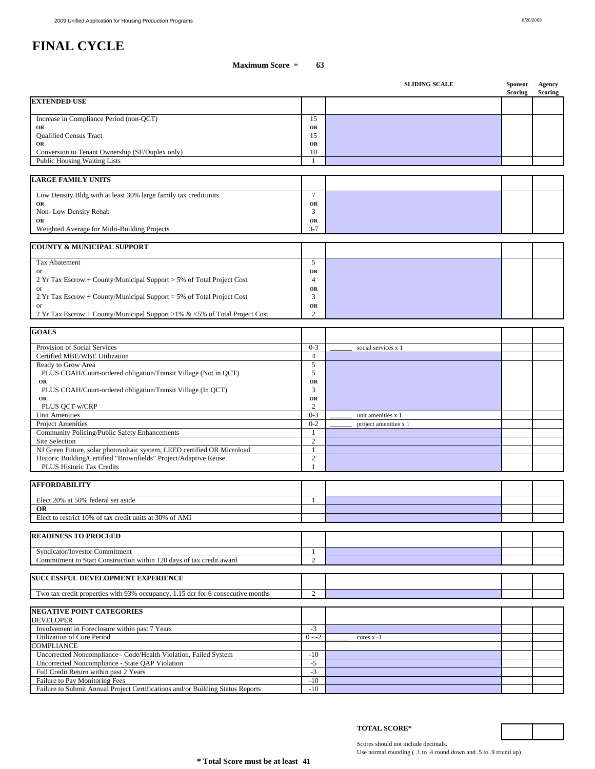|                                                                                           |                                | <b>SLIDING SCALE</b>  | Sponsor<br>Scoring | Agency<br><b>Scoring</b> |
|-------------------------------------------------------------------------------------------|--------------------------------|-----------------------|--------------------|--------------------------|
| <b>EXTENDED USE</b>                                                                       |                                |                       |                    |                          |
| Increase in Compliance Period (non-QCT)                                                   | 15                             |                       |                    |                          |
| OR                                                                                        | OR                             |                       |                    |                          |
| Qualified Census Tract<br>OR                                                              | 15<br>OR                       |                       |                    |                          |
| Conversion to Tenant Ownership (SF/Duplex only)                                           | 10                             |                       |                    |                          |
| Public Housing Waiting Lists                                                              | $\mathbf{1}$                   |                       |                    |                          |
| <b>LARGE FAMILY UNITS</b>                                                                 |                                |                       |                    |                          |
|                                                                                           |                                |                       |                    |                          |
| Low Density Bldg with at least 30% large family tax creditunits                           | $\tau$                         |                       |                    |                          |
| OR<br>Non-Low Density Rehab                                                               | OR<br>3                        |                       |                    |                          |
| OR                                                                                        | OR                             |                       |                    |                          |
| Weighted Average for Multi-Building Projects                                              | $3 - 7$                        |                       |                    |                          |
| <b>COUNTY &amp; MUNICIPAL SUPPORT</b>                                                     |                                |                       |                    |                          |
| Tax Abatement                                                                             | 5                              |                       |                    |                          |
| or                                                                                        | OR                             |                       |                    |                          |
| 2 Yr Tax Escrow + County/Municipal Support > 5% of Total Project Cost<br>or               | $\overline{4}$<br>OR           |                       |                    |                          |
| 2 Yr Tax Escrow + County/Municipal Support = 5% of Total Project Cost                     | 3                              |                       |                    |                          |
| or                                                                                        | OR                             |                       |                    |                          |
| 2 Yr Tax Escrow + County/Municipal Support >1% & <5% of Total Project Cost                | 2                              |                       |                    |                          |
| <b>GOALS</b>                                                                              |                                |                       |                    |                          |
| Provision of Social Services                                                              |                                |                       |                    |                          |
| Certified MBE/WBE Utilization                                                             | $0 - 3$<br>$\overline{4}$      | social services x 1   |                    |                          |
| Ready to Grow Area                                                                        | 5                              |                       |                    |                          |
| PLUS COAH/Court-ordered obligation/Transit Village (Not in QCT)                           | 5                              |                       |                    |                          |
| OR<br>PLUS COAH/Court-ordered obligation/Transit Village (In QCT)                         | OR<br>3                        |                       |                    |                          |
| OR                                                                                        | OR                             |                       |                    |                          |
| PLUS QCT w/CRP<br><b>Unit Amenities</b>                                                   | $\sqrt{2}$<br>$0 - 3$          | unit amenities x 1    |                    |                          |
| Project Amenities                                                                         | $0 - 2$                        | project amenities x 1 |                    |                          |
| Community Policing/Public Safety Enhancements                                             | $\mathbf{1}$                   |                       |                    |                          |
| Site Selection<br>NJ Green Future, solar photovoltaic system, LEED certified OR Microload | $\overline{c}$<br>$\mathbf{1}$ |                       |                    |                          |
| Historic Building/Certified "Brownfields" Project/Adaptive Reuse                          | $\overline{c}$                 |                       |                    |                          |
| PLUS Historic Tax Credits                                                                 | 1                              |                       |                    |                          |
|                                                                                           |                                |                       |                    |                          |
| <b>AFFORDABILITY</b>                                                                      |                                |                       |                    |                          |
| Elect 20% at 50% federal set aside                                                        | $\mathbf{1}$                   |                       |                    |                          |
| OR<br>Elect to restrict 10% of tax credit units at 30% of AMI                             |                                |                       |                    |                          |
|                                                                                           |                                |                       |                    |                          |
| <b>READINESS TO PROCEED</b>                                                               |                                |                       |                    |                          |
| Syndicator/Investor Commitment                                                            | 1                              |                       |                    |                          |
| Commitment to Start Construction within 120 days of tax credit award                      | 2                              |                       |                    |                          |
| SUCCESSFUL DEVELOPMENT EXPERIENCE                                                         |                                |                       |                    |                          |
|                                                                                           |                                |                       |                    |                          |
| Two tax credit properties with 93% occupancy, 1.15 dcr for 6 consecutive months           | $\overline{c}$                 |                       |                    |                          |
| <b>NEGATIVE POINT CATEGORIES</b>                                                          |                                |                       |                    |                          |
| <b>DEVELOPER</b>                                                                          |                                |                       |                    |                          |
| Involvement in Foreclosure within past 7 Years<br><b>Utilization of Cure Period</b>       | $-3$<br>$0 - -2$               | cures x -1            |                    |                          |
| COMPLIANCE                                                                                |                                |                       |                    |                          |
| Uncorrected Noncompliance - Code/Health Violation, Failed System                          | $-10$                          |                       |                    |                          |
| Uncorrected Noncompliance - State QAP Violation<br>Full Credit Return within past 2 Years | $-5$<br>$-3$                   |                       |                    |                          |
| Failure to Pay Monitoring Fees                                                            | $-10$                          |                       |                    |                          |
| Failure to Submit Annual Project Certifications and/or Building Status Reports            | $-10$                          |                       |                    |                          |

Scores should not include decimals. Use normal rounding ( .1 to .4 round down and .5 to .9 round up)